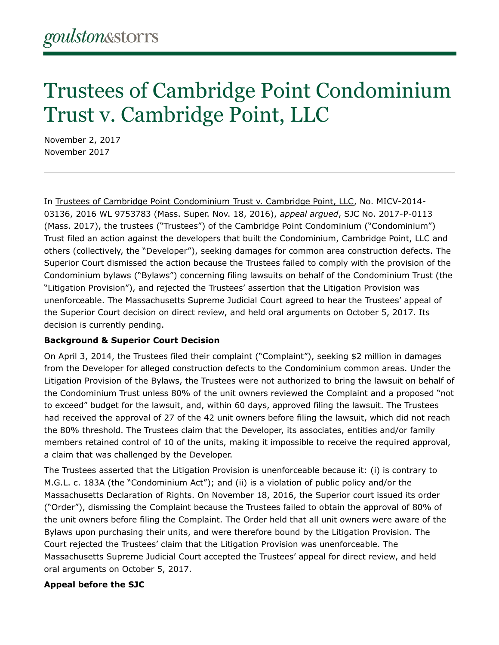## Trustees of Cambridge Point Condominium Trust v. Cambridge Point, LLC

November 2, 2017 November 2017

In [Trustees of Cambridge Point Condominium Trust v. Cambridge Point, LLC,](file:///home/goulstonstorrs/www/content/uploads/tmp/content%2Fuploads%2F2018%2F03%2Fthe20trustees20of20the20cambridge20point20condominium20v20cambridge20point20llc-1.pdf) No. MICV-2014- 03136, 2016 WL 9753783 (Mass. Super. Nov. 18, 2016), *appeal argued*, SJC No. 2017-P-0113 (Mass. 2017), the trustees ("Trustees") of the Cambridge Point Condominium ("Condominium") Trust filed an action against the developers that built the Condominium, Cambridge Point, LLC and others (collectively, the "Developer"), seeking damages for common area construction defects. The Superior Court dismissed the action because the Trustees failed to comply with the provision of the Condominium bylaws ("Bylaws") concerning filing lawsuits on behalf of the Condominium Trust (the "Litigation Provision"), and rejected the Trustees' assertion that the Litigation Provision was unenforceable. The Massachusetts Supreme Judicial Court agreed to hear the Trustees' appeal of the Superior Court decision on direct review, and held oral arguments on October 5, 2017. Its decision is currently pending.

## **Background & Superior Court Decision**

On April 3, 2014, the Trustees filed their complaint ("Complaint"), seeking \$2 million in damages from the Developer for alleged construction defects to the Condominium common areas. Under the Litigation Provision of the Bylaws, the Trustees were not authorized to bring the lawsuit on behalf of the Condominium Trust unless 80% of the unit owners reviewed the Complaint and a proposed "not to exceed" budget for the lawsuit, and, within 60 days, approved filing the lawsuit. The Trustees had received the approval of 27 of the 42 unit owners before filing the lawsuit, which did not reach the 80% threshold. The Trustees claim that the Developer, its associates, entities and/or family members retained control of 10 of the units, making it impossible to receive the required approval, a claim that was challenged by the Developer.

The Trustees asserted that the Litigation Provision is unenforceable because it: (i) is contrary to M.G.L. c. 183A (the "Condominium Act"); and (ii) is a violation of public policy and/or the Massachusetts Declaration of Rights. On November 18, 2016, the Superior court issued its order ("Order"), dismissing the Complaint because the Trustees failed to obtain the approval of 80% of the unit owners before filing the Complaint. The Order held that all unit owners were aware of the Bylaws upon purchasing their units, and were therefore bound by the Litigation Provision. The Court rejected the Trustees' claim that the Litigation Provision was unenforceable. The Massachusetts Supreme Judicial Court accepted the Trustees' appeal for direct review, and held oral arguments on October 5, 2017.

## **Appeal before the SJC**